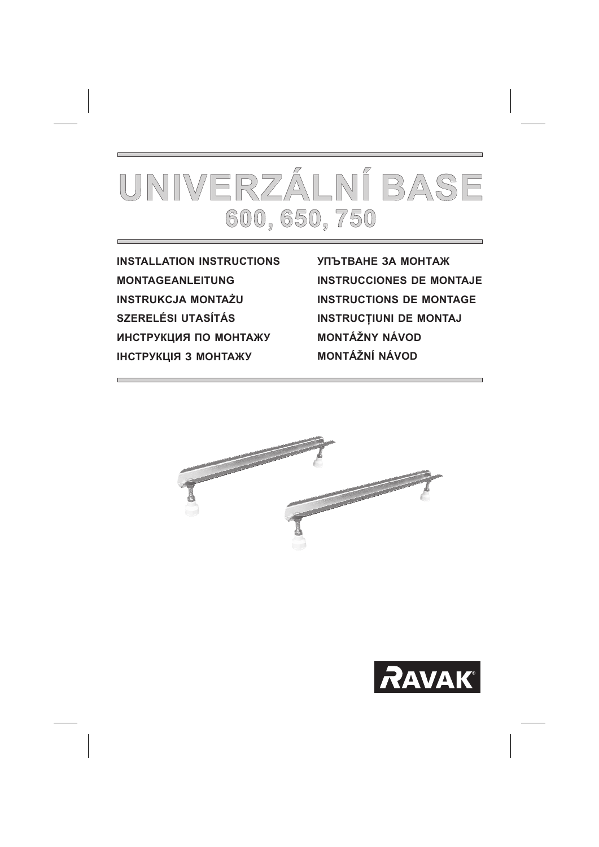

**INSTALLATION INSTRUCTIONS MONTAGEANLEITUNG INSTRUKCJA MONTAŻU SZERELÉSI UTASÍTÁS** ИНСТРУКЦИЯ ПО МОНТАЖУ ІНСТРУКЦІЯ З МОНТАЖУ

**УПЪТВАНЕ ЗА МОНТАЖ INSTRUCCIONES DE MONTAJE INSTRUCTIONS DE MONTAGE INSTRUCTIUNI DE MONTAJ MONTÁŽNY NÁVOD** MONTÁŽNÍ NÁVOD



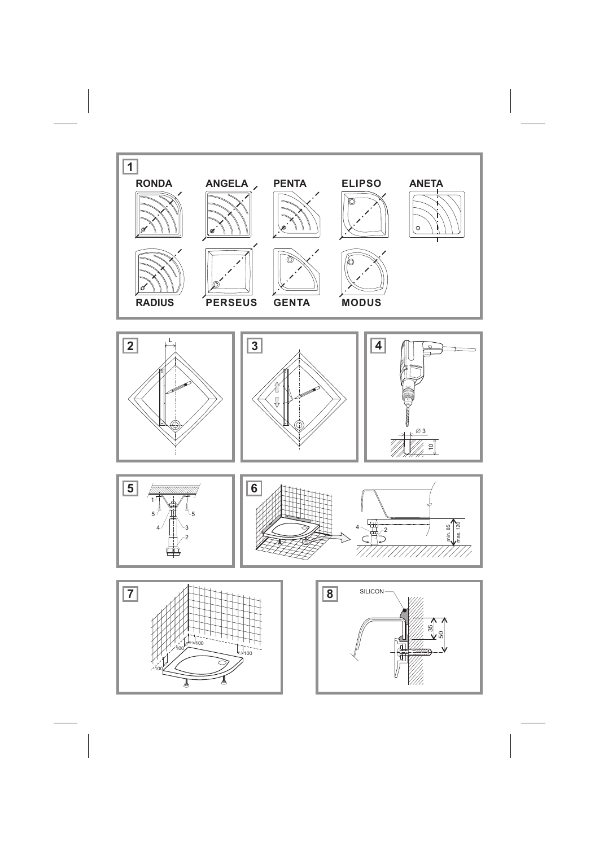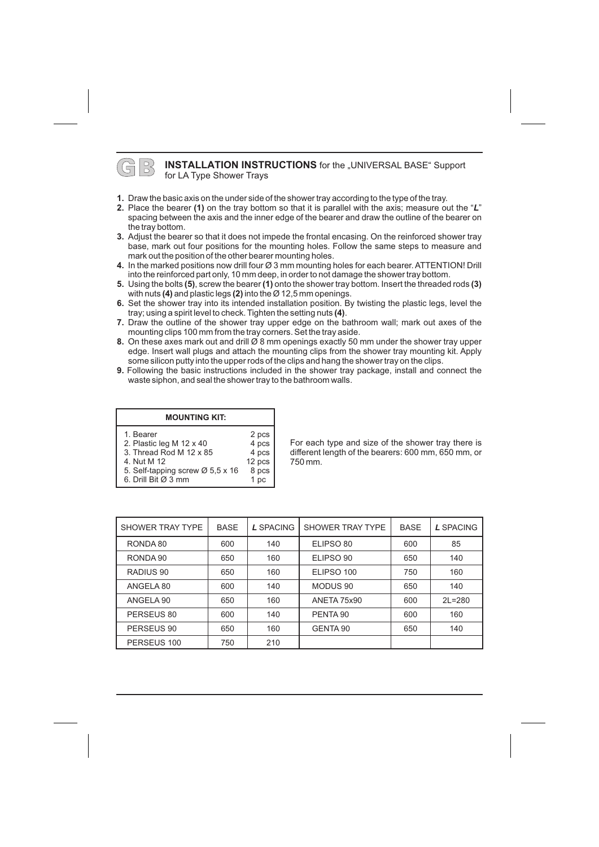#### **B INSTALLATION INSTRUCTIONS** for the "UNIVERSAL BASE" Support for LA Type Shower Trays

- **1.** Draw the basic axis on the under side of the shower tray according to the type of the tray.
- **2.** Place the bearer (1) on the tray bottom so that it is parallel with the axis; measure out the "L" spacing between the axis and the inner edge of the bearer and draw the outline of the bearer on the tray bottom.
- **3.** Adjust the bearer so that it does not impede the frontal encasing. On the reinforced shower tray base, mark out four positions for the mounting holes. Follow the same steps to measure and mark out the position of the other bearer mounting holes.
- **4.** In the marked positions now drill four  $\varnothing$  3 mm mounting holes for each bearer. ATTENTION! Drill into the reinforced part only, 10 mm deep, in order to not damage the shower tray bottom.
- **5.** Using the bolts (5), screw the bearer (1) onto the shower tray bottom. Insert the threaded rods (3) with nuts **(4)** and plastic legs **(2)** into the Ø 12,5 mm openings.
- **6.** Set the shower tray into its intended installation position. By twisting the plastic legs, level the tray; using a spirit level to check. Tighten the setting nuts **(4)**.
- **7.** Draw the outline of the shower tray upper edge on the bathroom wall; mark out axes of the mounting clips 100 mm from the tray corners. Set the tray aside.
- **8.** On these axes mark out and drill Ø 8 mm openings exactly 50 mm under the shower tray upper edge. Insert wall plugs and attach the mounting clips from the shower tray mounting kit. Apply some silicon putty into the upper rods of the clips and hang the shower tray on the clips.
- **9.** Following the basic instructions included in the shower tray package, install and connect the waste siphon, and seal the shower tray to the bathroom walls.

2 pcs 4 pcs 4 pcs 12 pcs

### **MOUNTING KIT:**

#### 1. Bearer

- 2. Plastic leg M 12 x 40
- 3. Thread Rod M 12 x 85
- 4. Nut M 12
- 5. Self-tapping screw Ø 5,5 x 16 8 pcs 1 pc
- 6. Drill Bit Ø 3 mm

For each type and size of the shower tray there is different length of the bearers: 600 mm, 650 mm, or 750 mm.

| SHOWER TRAY TYPE | <b>BASE</b> | L SPACING | SHOWER TRAY TYPE | <b>BASE</b> | L SPACING  |
|------------------|-------------|-----------|------------------|-------------|------------|
| RONDA 80         | 600         | 140       | ELIPSO 80        | 600         | 85         |
| RONDA 90         | 650         | 160       | ELIPSO 90        | 650         | 140        |
| RADIUS 90        | 650         | 160       | ELIPSO 100       | 750         | 160        |
| ANGELA 80        | 600         | 140       | MODUS 90         | 650         | 140        |
| ANGELA 90        | 650         | 160       | ANETA 75x90      | 600         | $2L = 280$ |
| PERSEUS 80       | 600         | 140       | PENTA 90         | 600         | 160        |
| PERSEUS 90       | 650         | 160       | GENTA 90         | 650         | 140        |
| PERSEUS 100      | 750         | 210       |                  |             |            |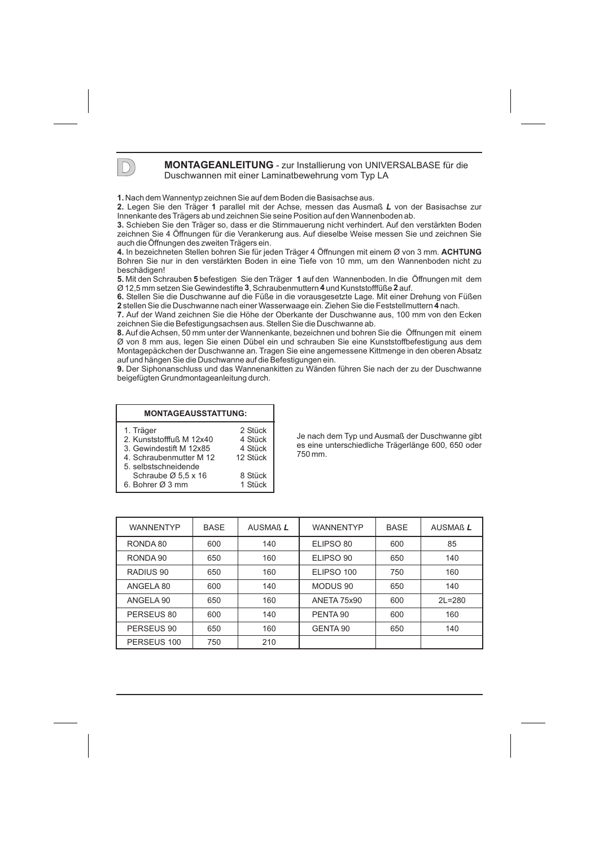

### **MONTAGEANLEITUNG** - zur Installierung von UNIVERSALBASE für die<br>Duschwannen mit einer Laminatbewehrung vom Tvp LA Duschwannen mit einer Laminatbewehrung vom Typ LA

**1.** Nach dem Wannentyp zeichnen Sie auf dem Boden die Basisachse aus.

2. Legen Sie den Träger 1 parallel mit der Achse, messen das Ausmaß L von der Basisachse zur Innenkante des Trägers ab und zeichnen Sie seine Position auf den Wannenboden ab. **1**

**3.** Schieben Sie den Träger so, dass er die Stirnmauerung nicht verhindert. Auf den verstärkten Boden zeichnen Sie 4 Öffnungen für die Verankerung aus. Auf dieselbe Weise messen Sie und zeichnen Sie auch die Öffnungen des zweiten Trägers ein.

**4.** In bezeichneten Stellen bohren Sie für jeden Träger 4 Öffnungen mit einem Ø von 3 mm. Bohren Sie nur in den verstärkten Boden in eine Tiefe von 10 mm, um den Wannenboden nicht zu **ACHTUNG** beschädigen!

**5.** Mit den Schrauben **5** befestigen Sie den Träger 1 auf den Wannenboden. In die Öffnungen mit dem Ø 12,5 mm setzen Sie Gewindestifte 3, Schraubenmuttern 4 und Kunststofffüße 2 auf.

**6.** Stellen Sie die Duschwanne auf die Füße in die vorausgesetzte Lage. Mit einer Drehung von Füßen **3 42** 2 stellen Sie die Duschwanne nach einer Wasserwaage ein. Ziehen Sie die Feststellmuttern 4 nach.

**7.** Auf der Wand zeichnen Sie die Höhe der Oberkante der Duschwanne aus, 100 mm von den Ecken **2 4** zeichnen Sie die Befestigungsachsen aus. Stellen Sie die Duschwanne ab.

**8.** Auf die Achsen, 50 mm unter der Wannenkante, bezeichnen und bohren Sie die Öffnungen mit einem Ø von 8 mm aus, legen Sie einen Dübel ein und schrauben Sie eine Kunststoffbefestigung aus dem Montagepäckchen der Duschwanne an. Tragen Sie eine angemessene Kittmenge in den oberen Absatz auf und hängen Sie die Duschwanne auf die Befestigungen ein.

**9.** Der Siphonanschluss und das Wannenankitten zu Wänden führen Sie nach der zu der Duschwanne beigefügten Grundmontageanleitung durch.

| <b>MONTAGEAUSSTATTUNG:</b>      |          |
|---------------------------------|----------|
| 1. Träger                       | 2 Stück  |
| 2. Kunststofffuß M 12x40        | 4 Stück  |
| 3. Gewindestift M 12x85         | 4 Stück  |
| 4. Schraubenmutter M 12         | 12 Stück |
| 5. selbstschneidende            |          |
| Schraube $\varnothing$ 5,5 x 16 | 8 Stück  |
| 6. Bohrer Ø 3 mm                | 1 Stück  |

Je nach dem Typ und Ausmaß der Duschwanne gibt es eine unterschiedliche Trägerlänge 600, 650 oder 750 mm.

| <b>WANNENTYP</b> | <b>BASE</b> | AUSMAß L | <b>WANNENTYP</b>    | <b>BASE</b> | AUSMAß L   |
|------------------|-------------|----------|---------------------|-------------|------------|
| RONDA 80         | 600         | 140      | ELIPSO 80           | 600         | 85         |
| RONDA 90         | 650         | 160      | ELIPSO 90           | 650         | 140        |
| RADIUS 90        | 650         | 160      | ELIPSO 100          | 750         | 160        |
| ANGELA 80        | 600         | 140      | MODUS <sub>90</sub> | 650         | 140        |
| ANGELA 90        | 650         | 160      | <b>ANETA 75x90</b>  | 600         | $2L = 280$ |
| PERSEUS 80       | 600         | 140      | PENTA 90            | 600         | 160        |
| PERSEUS 90       | 650         | 160      | GENTA 90            | 650         | 140        |
| PERSEUS 100      | 750         | 210      |                     |             |            |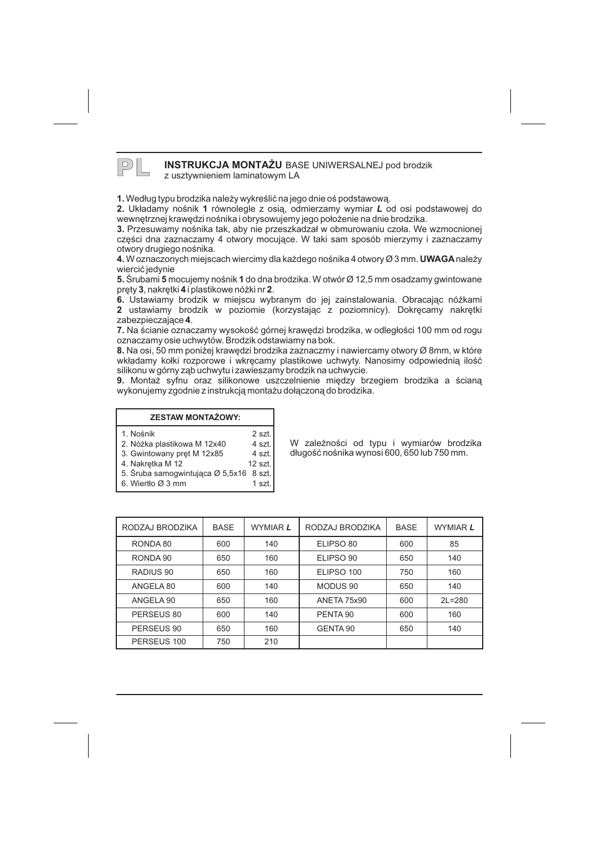## **PL INSTRUKCJA MONTAŻU** BASE UNIWERSALNEJ pod brodzik

z usztywnieniem laminatowym LA

**1.** Według typu brodzika należy wykreślić na jego dnie oś podstawową.

2. Układamy nośnik 1 równolegle z osią, odmierzamy wymiar L od osi podstawowej do wewnetrznej krawedzi nośnika i obrysowujemy jego położenie na dnie brodzika.

**3.** Przesuwamy nośnika tak, aby nie przeszkadzał w obmurowaniu czoła. We wzmocnionej części dna zaznaczamy 4 otwory mocujące. W taki sam sposób mierzymy i zaznaczamy otwory drugiego nośnika.

**4.** W oznaczonych miejscach wiercimy dla każdego nośnika 4 otwory Ø 3 mm. **UWAGA** należy wiercić jedynie

**5.** Srubami **5** mocujemy nośnik 1 do dna brodzika. W otwór Ø 12,5 mm osadzamy gwintowane pręty **3**, nakrętki **4** i plastikowe nóżki nr **2**.

**6.** Ustawiamy brodzik w miejscu wybranym do jej zainstalowania. Obracając nóżkami **2** ustawiamy brodzik w poziomie (korzystając z poziomnicy). Dokręcamy nakrętki zabezpieczające **4**.

**7.** Na ścianie oznaczamy wysokość górnej krawędzi brodzika, w odległości 100 mm od rogu oznaczamy osie uchwytów. Brodzik odstawiamy na bok.

**8.** Na osi, 50 mm poniżej krawędzi brodzika zaznaczmy i nawiercamy otwory Ø 8mm, w które wkładamy kołki rozporowe i wkręcamy plastikowe uchwyty. Nanosimy odpowiednią ilość silikonu w górny zab uchwytu i zawieszamy brodzik na uchwycie.

**9.** Montaż syfnu oraz silikonowe uszczelnienie między brzegiem brodzika a ścianą wykonujemy zgodnie z instrukcją montażu dołączoną do brodzika.

> 2 szt. 4 szt. 4 szt.  $12$  szt.

#### **ZESTAW MONTAŻOWY:**

- 1. Nośnik
- 2. Nó¿ka plastikowa M 12x40
- 3. Gwintowany pret M 12x85
- 4. Nakretka M 12
- 5. Śruba samogwintująca Ø 5,5x16 8 szt. 1 szt.
- 6. Wiertło Ø 3 mm

W zależności od typu i wymiarów brodzika długość nośnika wynosi 600, 650 lub 750 mm.

| RODZAJ BRODZIKA | <b>BASE</b> | <b>WYMIAR L</b> | RODZAJ BRODZIKA     | <b>BASE</b> | <b>WYMIAR L</b> |
|-----------------|-------------|-----------------|---------------------|-------------|-----------------|
| RONDA 80        | 600         | 140             | ELIPSO 80           | 600         | 85              |
| RONDA 90        | 650         | 160             | ELIPSO 90           | 650         | 140             |
| RADIUS 90       | 650         | 160             | ELIPSO 100          | 750         | 160             |
| ANGELA 80       | 600         | 140             | MODUS 90            | 650         | 140             |
| ANGELA 90       | 650         | 160             | <b>ANETA 75x90</b>  | 600         | $2L = 280$      |
| PERSEUS 80      | 600         | 140             | PENTA <sub>90</sub> | 600         | 160             |
| PERSEUS 90      | 650         | 160             | GENTA 90            | 650         | 140             |
| PERSEUS 100     | 750         | 210             |                     |             |                 |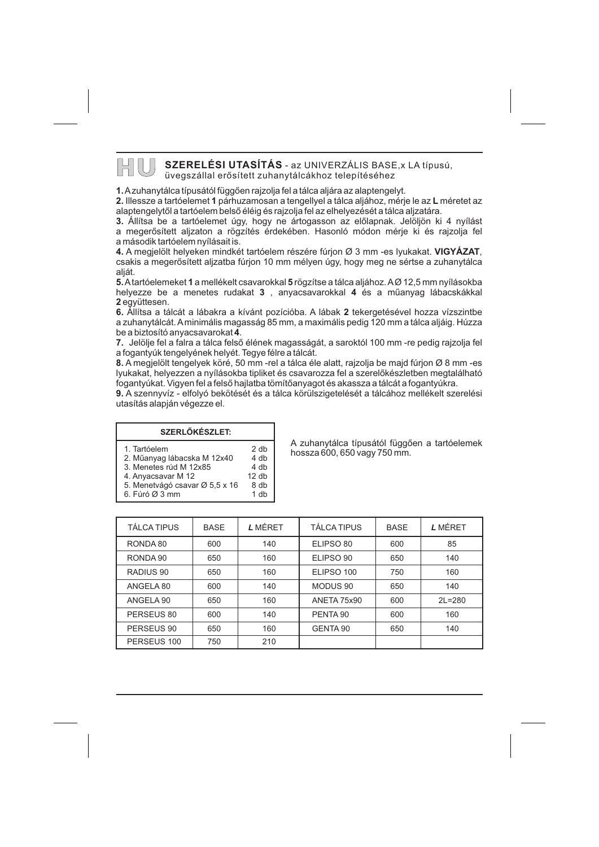# **HU SZERELÉSI UTASÍTÁS** - az UNIVERZÁLIS BASE, x LA típusú,

üvegszállal erõsített zuhanytálcákhoz telepítéséhez

**1.** A zuhanytálca típusától függõen rajzolja fel a tálca aljára az alaptengelyt.

**2.** Illessze a tartóelemet **1** párhuzamosan a tengellyel a tálca aljához, mérje le az **L** méretet az alaptengelytõl a tartóelem belsõ éléig és rajzolja fel az elhelyezését a tálca aljzatára.

**3.** Állítsa be a tartóelemet úgy, hogy ne ártogasson az elõlapnak. Jelöljön ki 4 nyílást a megerõsített aljzaton a rögzítés érdekében. Hasonló módon mérje ki és rajzolja fel a második tartóelem nyílásait is.

**4.** A megjelölt helyeken mindkét tartóelem részére fúrjon Ø 3 mm -es lyukakat. **VIGYÁZAT**, csakis a megerõsített aljzatba fúrjon 10 mm mélyen úgy, hogy meg ne sértse a zuhanytálca aliát.

**5.** A tartóelemeket 1 a mellékelt csavarokkal **5** rögzítse a tálca aljához. AØ 12,5 mm nyílásokba helyezze be a menetes rudakat **3** , anyacsavarokkal **4** és a műanyag lábacskákkal **2** együttesen.

**6.** Állítsa a tálcát a lábakra a kívánt pozícióba. A lábak 2 tekergetésével hozza vízszintbe be a biztosító anyacsavarokat **4**. a zuhanytálcát.Aminimális magasság 85 mm, a maximális pedig 120 mm a tálca aljáig. Húzza

**7.** Jelölje fel a falra a tálca felső élének magasságát, a saroktól 100 mm -re pedig rajzolja fel a fogantyúk tengelyének helyét. Tegye félre a tálcát.

**8.** A megjelölt tengelyek köré, 50 mm -rel a tálca éle alatt, rajzolja be majd fúrjon Ø 8 mm -es lyukakat, helyezzen a nyílásokba tipliket és csavarozza fel a szerelõkészletben megtalálható fogantyúkat. Vigyen fel a felsõ hajlatba tömítõanyagot és akassza a tálcát a fogantyúkra.

**9.** A szennyvíz - elfolyó bekötését és a tálca körülszigetelését a tálcához mellékelt szerelési utasítás alapján végezze el.

> 2 db 4 db 4 db 12 db

#### **SZERLÕKÉSZLET:**

- 1. Tartóelem
- 2. Mûanyag lábacska M 12x40
- 3. Menetes rúd M 12x85
- 4. Anyacsavar M 12
- 5. Menetvágó csavar Ø 5,5 x 16 8 db 1 db
- 6. Fúró 3 mm Ø

A zuhanytálca típusától függõen a tartóelemek hossza 600, 650 vagy 750 mm.

| TÁLCA TIPUS | <b>BASE</b> | L MÉRET | <b>TÁLCA TIPUS</b>  | <b>BASE</b> | L MÉRET    |
|-------------|-------------|---------|---------------------|-------------|------------|
| RONDA 80    | 600         | 140     | ELIPSO 80           | 600         | 85         |
| RONDA 90    | 650         | 160     | ELIPSO 90           | 650         | 140        |
| RADIUS 90   | 650         | 160     | ELIPSO 100          | 750         | 160        |
| ANGELA 80   | 600         | 140     | MODUS <sub>90</sub> | 650         | 140        |
| ANGELA 90   | 650         | 160     | ANETA 75x90         | 600         | $2L = 280$ |
| PERSEUS 80  | 600         | 140     | PENTA 90            | 600         | 160        |
| PERSEUS 90  | 650         | 160     | GENTA 90            | 650         | 140        |
| PERSEUS 100 | 750         | 210     |                     |             |            |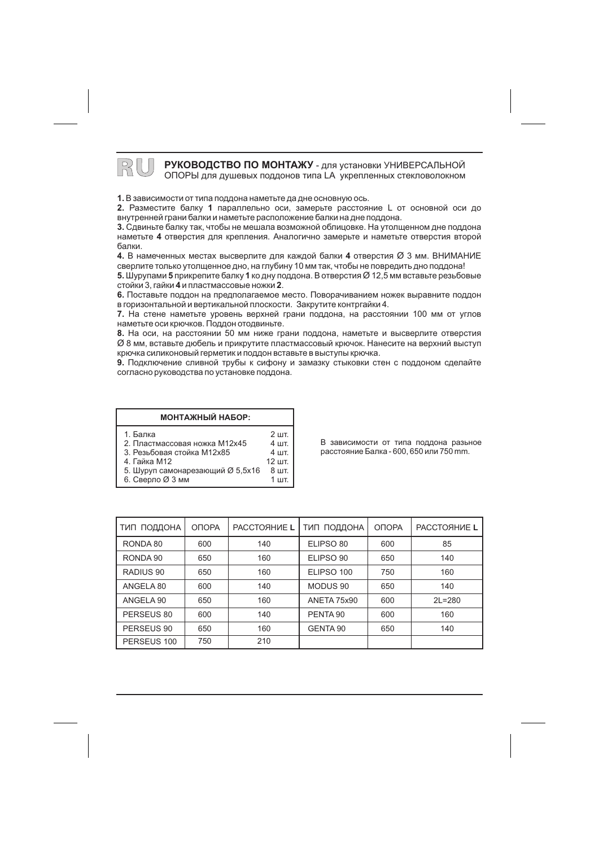**ВО ГОЙ ВОЙОГА ВОЙОВОДСТВО ПО МОНТАЖУ** - для установки УНИВЕРСАЛЬНОЙ ОПОРЫ для душевых поддонов типа LA укрепленных стекловолокном

**1.** В зависимости от типа поддона наметьте да дне основную ось.

**2.** Разместите балку 1 параллельно оси, замерьте расстояние L от основной оси до внутренней грани балки и наметьте расположение балки на дне поддона.

**3.** Сдвиньте балку так, чтобы не мешала возможной облицовке. На утолщенном дне поддона наметьте 4 отверстия для крепления. Аналогично замерьте и наметьте отверстия второй балки.

**4.** В намеченных местах высверлите для каждой балки **4** отверстия Ø 3 мм. ВНИМАНИЕ сверлите только утолщенное дно, на глубину 10 мм так, чтобы не повредить дно поддона!

**5.** Шурупами **5** прикрепите балку 1 ко дну поддона. В отверстия Ø 12,5 мм вставьте резьбовые стойки 3, гайки **4** и пластмассовые ножки **2**.

**6.** Поставьте поддон на предполагаемое место. Поворачиванием ножек выравните поддон в горизонтальной и вертикальной плоскости. Закрутите контргайки 4.

**7.** На стене наметьте уровень верхней грани поддона, на расстоянии 100 мм от углов наметьте оси крючков. Поддон отодвиньте.

**8.** На оси, на расстоянии 50 мм ниже грани поддона, наметьте и высверлите отверстия  $\varnothing$  8 мм, вставьте дюбель и прикрутите пластмассовый крючок. Нанесите на верхний выступ крючка силиконовый герметик и поддон вставьте в выступы крючка.

**9.** Подключение сливной трубы к сифону и замазку стыковки стен с поддоном сделайте согласно руководства по установке поддона.

> 4 шт. 12 шт.

|       | МОНТАЖНЫЙ НАБОР: |         |
|-------|------------------|---------|
| Балка |                  | $2 \mu$ |

- 2. Пластмассовая ножка М12х45 4 шт.
- 3. Резьбовая стойка M12х85
- 4. Гайка М12

 $1.$ 

- 5. Шуруп самонарезающий Ø 5,5x16 8 шт. 1 шт.
- 6. Сверло Ø 3 мм

В зависимости от типа поддона разьное расстояние Балка - 600, 650 или 750 mm.

| ТИП ПОДДОНА | ОПОРА | PACCTORHUE L | ТИП ПОДДОНА        | ОПОРА | PACCTORHUE L |
|-------------|-------|--------------|--------------------|-------|--------------|
| RONDA 80    | 600   | 140          | ELIPSO 80          | 600   | 85           |
| RONDA 90    | 650   | 160          | ELIPSO 90          | 650   | 140          |
| RADIUS 90   | 650   | 160          | ELIPSO 100         | 750   | 160          |
| ANGELA 80   | 600   | 140          | MODUS 90           | 650   | 140          |
| ANGELA 90   | 650   | 160          | <b>ANETA 75x90</b> | 600   | $2L = 280$   |
| PERSEUS 80  | 600   | 140          | PENTA 90           | 600   | 160          |
| PERSEUS 90  | 650   | 160          | GENTA 90           | 650   | 140          |
| PERSEUS 100 | 750   | 210          |                    |       |              |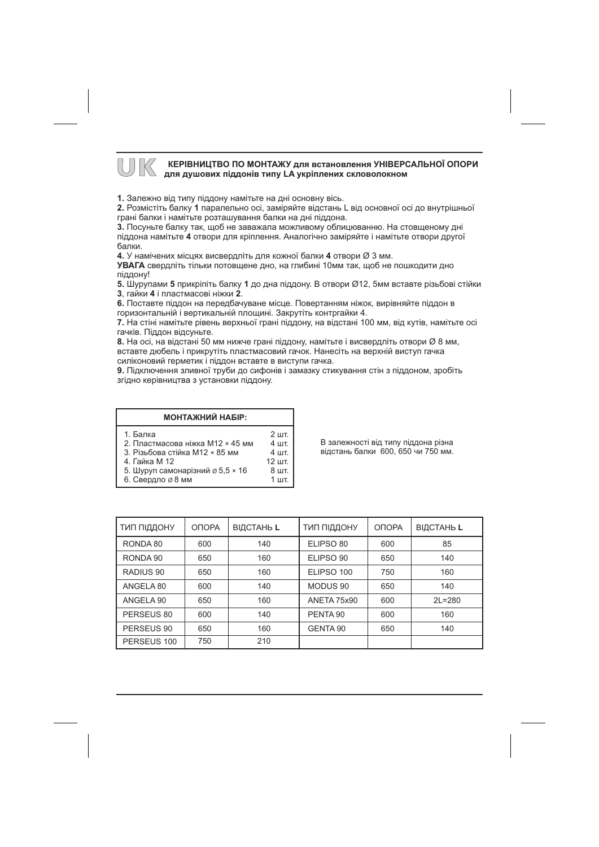# **МАЛИ КЕРІВНИЦТВО ПО МОНТАЖУ для встановлення УНІВЕРСАЛЬНОЇ ОПОРИ**<br>Для душових піддонів типу LA укріплених скловолокном

1. Залежно від типу піддону намітьте на дні основну вісь.

2. Розмістіть балку 1 паралельно осі, заміряйте відстань L від основної осі до внутрішньої грані балки і намітьте розташування балки на дні піддона.

3. Посуньте балку так, щоб не заважала можливому облицюванню. На стовщеному дні піддона намітьте 4 отвори для кріплення. Аналогічно заміряйте і намітьте отвори другої балки.

4. У намічених місцях висвердліть для кожної балки 4 отвори  $\varnothing$  3 мм.

УВАГА свердліть тільки потовщене дно, на глибині 10мм так, щоб не пошкодити дно піддону!

5. Шурупами 5 прикріпіть балку 1 до дна піддону. В отвори Ø12, 5мм вставте різьбові стійки 3. гайки 4 і пластмасові ніжки 2.

6. Поставте піддон на передбачуване місце. Повертанням ніжок, вирівняйте піддон в горизонтальній і вертикальній площині. Закрутіть контргайки 4.

7. На стіні намітьте рівень верхньої грані піддону, на відстані 100 мм, від кутів, намітьте осі гачків. Піддон відсуньте.

8. На осі, на відстані 50 мм нижче грані піддону, намітьте і висвердліть отвори Ø 8 мм, вставте дюбель і прикрутіть пластмасовий гачок. Нанесіть на верхній виступ гачка силіконовий герметик і піддон вставте в виступи гачка.

9. Підключення зливної труби до сифонів і замазку стикування стін з піддоном, зробіть згідно керівництва з установки піддону.

1 шт.

| <b>МОНТАЖНИЙ НАБІР:</b>                                                                         |                                                                                                            |
|-------------------------------------------------------------------------------------------------|------------------------------------------------------------------------------------------------------------|
| 1. Балка<br>2. Пластмасова ніжка M12 × 45 мм<br>3. Різьбова стійка M12 × 85 мм<br>4. Гайка М 12 | $2$ $\overline{\text{H}}$<br>$4$ $\overline{\phantom{1}}$<br>$4$ $\overline{\phantom{1}}$<br>$12$ $\mu$ T. |
| 5. Illynyn camouanisum $\alpha$ 5.5 x 16                                                        | Я шт                                                                                                       |

⊔уруп самонарıзний ∅ 5.5

6. Свердло ø 8 мм

В залежності від типу піддона різна відстань балки 600. 650 чи 750 мм.

| ТИП ПІДДОНУ | ОПОРА | ВІДСТАНЬ L | ТИП ПІДДОНУ         | ОПОРА | ВІДСТАНЬ L |
|-------------|-------|------------|---------------------|-------|------------|
| RONDA 80    | 600   | 140        | ELIPSO 80           | 600   | 85         |
| RONDA 90    | 650   | 160        | ELIPSO 90           | 650   | 140        |
| RADIUS 90   | 650   | 160        | ELIPSO 100          | 750   | 160        |
| ANGELA 80   | 600   | 140        | MODUS <sub>90</sub> | 650   | 140        |
| ANGELA 90   | 650   | 160        | ANETA 75x90         | 600   | $2L = 280$ |
| PERSEUS 80  | 600   | 140        | PENTA 90            | 600   | 160        |
| PERSEUS 90  | 650   | 160        | GENTA 90            | 650   | 140        |
| PERSEUS 100 | 750   | 210        |                     |       |            |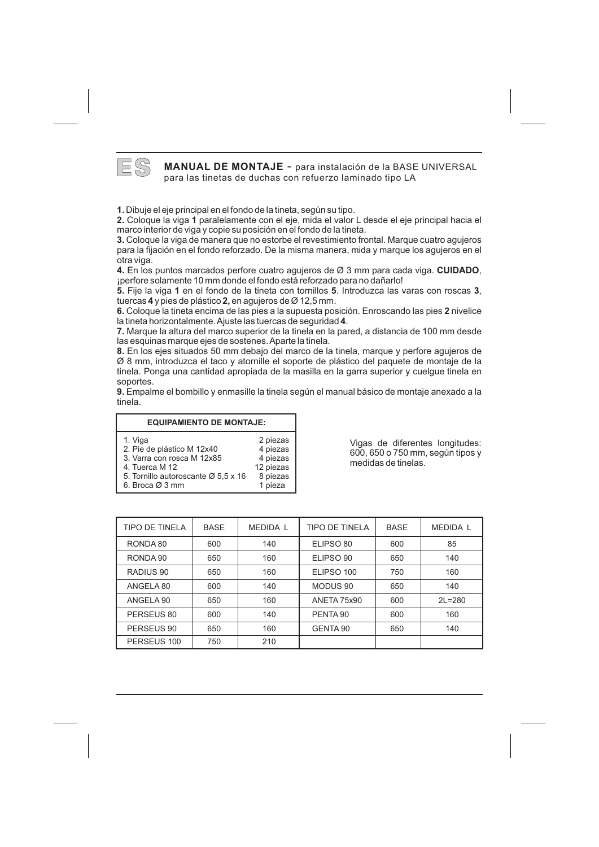

**ES MANUAL DE MONTAJE** - para instalación de la BASE UNIVERSAL para las tinetas de duchas con refuerzo laminado tipo LA

Dibuje el eje principal en el fondo de la tineta, según su tipo.

1. In the group computed the matter of the minimal paralelant post of the coloque la viga 1 paralelamente con el eje, mida el valor L desde el eje principal hacia el **2. 1** marco interior de viga y copie su posición en el fondo de la tineta.

**3.** para la fijación en el fondo reforzado. De la misma manera, mida y marque los agujeros en el 3. Coloque la viga de manera que no estorbe el revestimiento frontal. Marque cuatro aquieros otra viga.

**4. CUIDADO** ¡perfore solamente 10 mm donde el fondo está reforzado para no dañarlo! 4. En los puntos marcados perfore cuatro agujeros de  $\varnothing$  3 mm para cada viga. CUIDADO.

tuercas 4 y pies de plástico 2, en agujeros de Ø 12,5 mm. 5. Fije la viga 1 en el fondo de la tineta con tornillos 5. Introduzca las varas con roscas 3,

**2000 de la tineta encima de las pies a la supuesta posición. Enroscando las pies 2 nivelice 6. 2** la tineta horizontalmente.Ajuste las tuercas de seguridad .

**4** Marque la altura del marco superior de la tinela en la pared, a distancia de 100 mm desde **7.** las esquinas marque ejes de sostenes.Aparte la tinela.

**8.** Ø 8 mm, introduzca el taco y atornille el soporte de plástico del paquete de montaje de la En los ejes situados 50 mm debajo del marco de la tinela, marque y perfore agujeros de tinela. Ponga una cantidad apropiada de la masilla en la garra superior y cuelgue tinela en soportes.

**9.** tinela. Empalme el bombillo y enmasille la tinela según el manual básico de montaje anexado a la

#### **EQUIPAMIENTO DE MONTAJE:**

| 2 piezas<br>1. Viga<br>4 piezas<br>2. Pie de plástico M 12x40<br>4 piezas<br>3. Varra con rosca M 12x85                  |  |
|--------------------------------------------------------------------------------------------------------------------------|--|
| 12 piezas<br>4. Tuerca M 12<br>8 piezas<br>5. Tornillo autoroscante Ø 5,5 x 16<br>1 pieza<br>6. Broca $\varnothing$ 3 mm |  |

Vigas de diferentes longitudes: 600, 650 o 750 mm, según tipos y medidas de tinelas.

| <b>TIPO DE TINELA</b> | <b>BASE</b> | <b>MEDIDA L</b> | <b>TIPO DE TINELA</b> | <b>BASE</b> | <b>MEDIDA L</b> |
|-----------------------|-------------|-----------------|-----------------------|-------------|-----------------|
| RONDA 80              | 600         | 140             | ELIPSO 80             | 600         | 85              |
| RONDA 90              | 650         | 160             | ELIPSO 90             | 650         | 140             |
| RADIUS 90             | 650         | 160             | ELIPSO 100            | 750         | 160             |
| ANGELA 80             | 600         | 140             | MODUS 90              | 650         | 140             |
| ANGELA 90             | 650         | 160             | <b>ANETA 75x90</b>    | 600         | $2L = 280$      |
| PERSEUS 80            | 600         | 140             | PENTA 90              | 600         | 160             |
| PERSEUS 90            | 650         | 160             | GENTA 90              | 650         | 140             |
| PERSEUS 100           | 750         | 210             |                       |             |                 |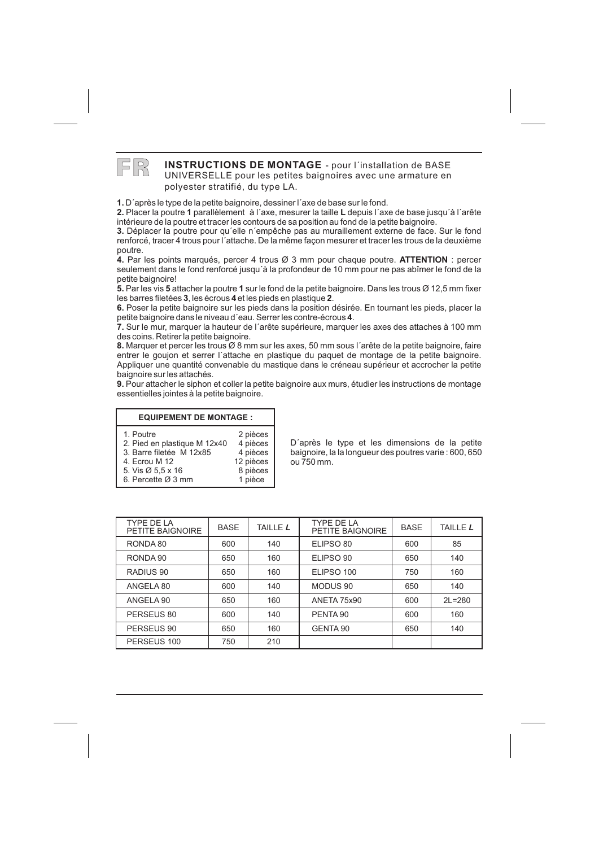**FR** INSTRUCTIONS DE MONTAGE - pour l'installation de BASE UNIVERSELLE pour les petites baignoires avec une armature en polyester stratifié, du type LA.

D´après le type de la petite baignoire, dessiner l´axe de base sur le fond.

2. Placer la poutre 1 parallèlement à l'axe, mesurer la taille L depuis l'axe de base jusqu'à l'arête **2. 1 L** intérieure de la poutre et tracer les contours de sa position au fond de la petite baignoire.

**3.** renforcé, tracer 4 trous pour l´attache. De la même façon mesurer et tracer les trous de la deuxième 3. Déplacer la poutre pour qu'elle n'empêche pas au muraillement externe de face. Sur le fond poutre.

seulement dans le fond renforcé jusqu'à la profondeur de 10 mm pour ne pas abîmer le fond de la 4. Par les points marqués, percer 4 trous  $\varnothing$  3 mm pour chaque poutre. **ATTENTION** : percer petite baignoire!

les barres filetées 3, les écrous 4 et les pieds en plastique 2. Par les vis **5** attacher la poutre **1** sur le fond de la petite baignoire. Dans les trous Ø 12,5 mm fixer

**34 2** Poser la petite baignoire sur les pieds dans la position désirée. En tournant les pieds, placer la petite baignoire dans le niveau d'eau. Serrer les contre-écrous 4.

**4** Sur le mur, marquer la hauteur de l´arête supérieure, marquer les axes des attaches à 100 mm **7.** des coins. Retirer la petite baignoire.

**8.** entrer le goujon et serrer l´attache en plastique du paquet de montage de la petite baignoire. 8. Marquer et percer les trous Ø 8 mm sur les axes, 50 mm sous l'arête de la petite baignoire, faire Appliquer une quantité convenable du mastique dans le créneau supérieur et accrocher la petite baignoire sur les attachés.

**9.** essentielles jointes à la petite baignoire. 9. Pour attacher le siphon et coller la petite baignoire aux murs, étudier les instructions de montage

#### **EQUIPEMENT DE MONTAGE:**

| 1. Poutre<br>2 pièces                                                                                                                                                                        |  |
|----------------------------------------------------------------------------------------------------------------------------------------------------------------------------------------------|--|
| 4 pièces<br>2. Pied en plastique M 12x40<br>4 pièces<br>3. Barre filetée M 12x85<br>12 pièces<br>4. Ecrou M 12<br>8 pièces<br>5. Vis Ø 5,5 x 16<br>1 pièce<br>6. Percette $\varnothing$ 3 mm |  |

D´après le type et les dimensions de la petite baignoire, la la longueur des poutres varie : 600, 650 ou 750 mm.

| TYPE DE LA<br>PETITE BAIGNOIRE | <b>BASE</b> | TAILLE <i>L</i> | TYPE DE LA<br>PETITE BAIGNOIRE | <b>BASE</b> | <b>TAILLE L</b> |
|--------------------------------|-------------|-----------------|--------------------------------|-------------|-----------------|
| RONDA 80                       | 600         | 140             | ELIPSO 80                      | 600         | 85              |
| RONDA 90                       | 650         | 160             | ELIPSO 90                      | 650         | 140             |
| RADIUS <sub>90</sub>           | 650         | 160             | ELIPSO 100                     | 750         | 160             |
| ANGELA 80                      | 600         | 140             | MODUS 90                       | 650         | 140             |
| ANGELA 90                      | 650         | 160             | <b>ANETA 75x90</b>             | 600         | $2L = 280$      |
| PERSEUS 80                     | 600         | 140             | PENTA 90                       | 600         | 160             |
| PERSEUS 90                     | 650         | 160             | GENTA 90                       | 650         | 140             |
| PERSEUS 100                    | 750         | 210             |                                |             |                 |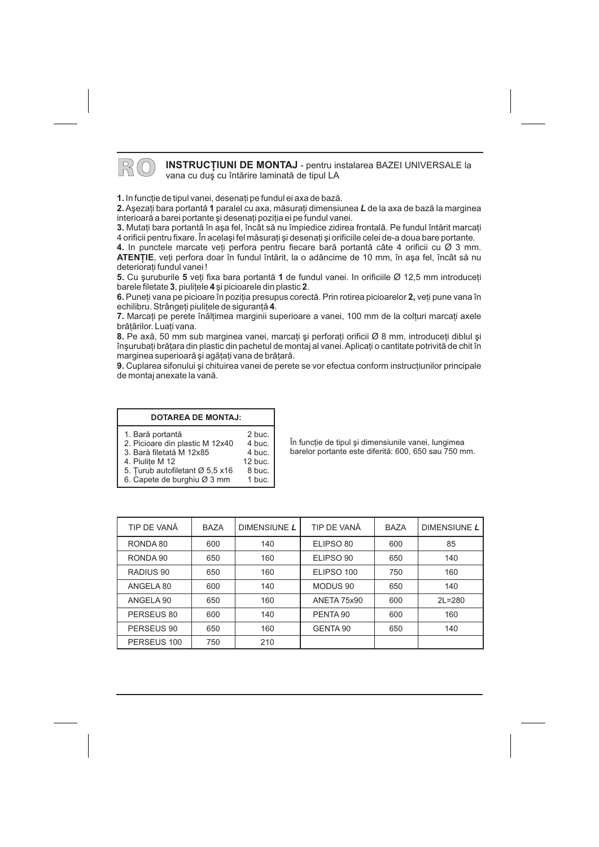

#### **RO INSTRUCȚIUNI DE MONTAJ** - pentru instalarea BAZEI UNIVERSALE la vana cu dus cu întărire laminată de tipul LA

1. In funcție de tipul vanei, desenați pe fundul ei axa de bază.  $\bm{2}$ . Aşezați bara portantă **1** paralel cu axa, măsurați dimensiunea  $\bm{L}$  de la axa de bază la marginea interioară a barei portante și desenați poziția ei pe fundul vanei.

**3.** Mutați bara portantă în aşa fel, încât să nu împiedice zidirea frontală. Pe fundul întărit marcați 4 orificii pentru fixare. În același fel măsurați și desenați și orificiile celei de-a doua bare portante.

4. In punctele marcate veți perfora pentru fiecare bară portantă câte 4 orificii cu Ø 3 mm. **ATENȚIE**, veți perfora doar în fundul întărit, la o adâncime de 10 mm, în aşa fel, încât să nu deteriorati fundul vanei !

**5.** Cu şuruburile 5 veți fixa bara portantă 1 de fundul vanei. In orificiile Ø 12,5 mm introduceți barele filetate **3**, piulițele **4** și picioarele din plastic **2**.

**6.** Puneți vana pe picioare în poziția presupus corectă. Prin rotirea picioarelor **2**, veți pune vana în echilibru. Strângeți piulițele de siguranță **4**.

**7.** Marcați pe perete înălțimea marginii superioare a vanei, 100 mm de la colțuri marcați axele brătărilor. Luati vana.

8. Pe axă, 50 mm sub marginea vanei, marcați și perforați orificii Ø 8 mm, introduceți diblul și înşurubați brățara din plastic din pachetul de montaj al vanei. Aplicați o cantitate potrivită de chit în marginea superioară și agățați vana de brățară.

**9.** Cuplarea sifonului și chituirea vanei de perete se vor efectua conform instrucțiunilor principale de montaj anexate la vanã.

2 buc.

#### **DOTAREA DE MONTAJ:**

- 1. Barã portantã
- 2. Picioare din plastic M 12x40 4 buc.
- 3. Barã filetatã M 12x85 4 buc. 12 buc.
- 4. Piuliþe M 12
- 5. Ţurub autofiletant Ø 5,5 x16 8 buc.
- 6. Capete de burghiu Ø 3 mm 1 buc.

În functie de tipul și dimensiunile vanei, lungimea barelor portante este diferitã: 600, 650 sau 750 mm.

| TIP DE VANĂ | <b>BAZA</b> | DIMENSIUNE L | TIP DE VANĂ | <b>BAZA</b> | DIMENSIUNE L |
|-------------|-------------|--------------|-------------|-------------|--------------|
| RONDA 80    | 600         | 140          | ELIPSO 80   | 600         | 85           |
| RONDA 90    | 650         | 160          | ELIPSO 90   | 650         | 140          |
| RADIUS 90   | 650         | 160          | ELIPSO 100  | 750         | 160          |
| ANGELA 80   | 600         | 140          | MODUS 90    | 650         | 140          |
| ANGELA 90   | 650         | 160          | ANETA 75x90 | 600         | $2L = 280$   |
| PERSEUS 80  | 600         | 140          | PENTA 90    | 600         | 160          |
| PERSEUS 90  | 650         | 160          | GENTA 90    | 650         | 140          |
| PERSEUS 100 | 750         | 210          |             |             |              |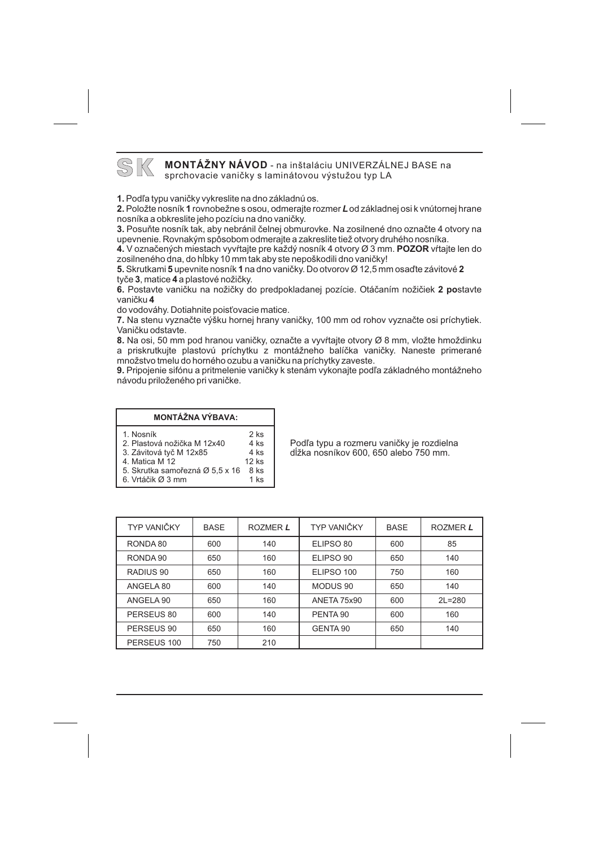# SK **MONTÁŽNY NÁVOD** - na inštaláciu UNIVERZÁLNEJ BASE na

sprchovacie vanièky s laminátovou výstužou typ LA

**1.** Pod¾a typu vanièky vykreslite na dno základnú os.

2. Položte nosník 1 rovnobežne s osou, odmerajte rozmer **L** od základnej osi k vnútornej hrane nosníka a obkreslite jeho pozíciu na dno vanièky.

**3.** Posuňte nosník tak, aby nebránil čelnej obmurovke. Na zosilnené dno označte 4 otvory na upevnenie. Rovnakým spôsobom odmerajte a zakreslite tiež otvory druhého nosníka.

**4.** V označených miestach vyvŕtajte pre každý nosník 4 otvory Ø 3 mm. **POZOR** vŕtajte len do zosilneného dna, do hĺbky 10 mm tak aby ste nepoškodili dno vaničky!

**5.** Skrutkami **5** upevnite nosník **1** na dno vaničky. Do otvorov Ø 12,5 mm osaďte závitové **2** tyče **3**, matice **4** a plastové nožičky.

**6.** Postavte vaničku na nožičky do predpokladanej pozície. Otáčaním nožičiek 2 postavte **4** vanièku

do vodováhy. Dotiahnite poisťovacie matice.

**7.** Na stenu vyznaète výšku hornej hrany vanièky, 100 mm od rohov vyznaète osi príchytiek. Vaničku odstavte.

**8.** Na osi, 50 mm pod hranou vaničky, označte a vyvŕtajte otvory Ø 8 mm, vložte hmoždinku a priskrutkujte plastovú príchytku z montážneho balíèka vanièky. Naneste primerané množstvo tmelu do horného ozubu a vanièku na príchytky zaveste.

**9.** Pripojenie sifónu a pritmelenie vaničky k stenám vykonajte podľa základného montážneho návodu priloženého pri vanièke.

> $2$  ks 4 ks 4 ks 12 ks

#### **MONTÁŽNA VÝBAVA:**

- 1. Nosník
- 2. Plastová nožička M 12x40
- 3. Závitová tyè M 12x85
- 4. Matica M 12
- 5. Skrutka samořezná Ø 5,5 x 16  $-$  8 ks 1 ks
- 6. Vrtáčik Ø 3 mm

Podľa typu a rozmeru vaničky je rozdielna dåžka nosníkov 600, 650 alebo 750 mm.

| TYP VANIČKY | <b>BASE</b> | ROZMER L | TYP VANIČKY | <b>BASE</b> | ROZMER L   |
|-------------|-------------|----------|-------------|-------------|------------|
| RONDA 80    | 600         | 140      | ELIPSO 80   | 600         | 85         |
| RONDA 90    | 650         | 160      | ELIPSO 90   | 650         | 140        |
| RADIUS 90   | 650         | 160      | ELIPSO 100  | 750         | 160        |
| ANGELA 80   | 600         | 140      | MODUS 90    | 650         | 140        |
| ANGELA 90   | 650         | 160      | ANETA 75x90 | 600         | $2L = 280$ |
| PERSEUS 80  | 600         | 140      | PENTA 90    | 600         | 160        |
| PERSEUS 90  | 650         | 160      | GENTA 90    | 650         | 140        |
| PERSEUS 100 | 750         | 210      |             |             |            |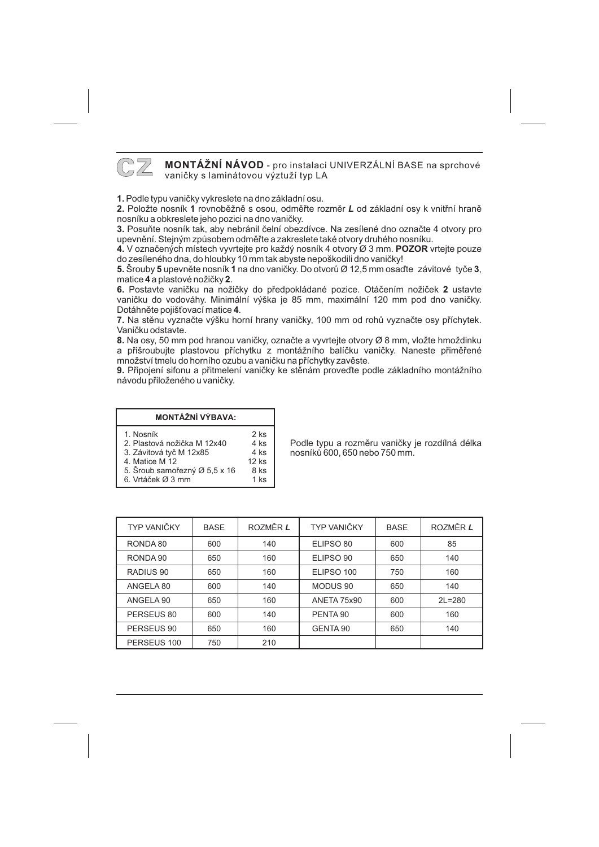

**CZ** MONTÁŽNÍ NÁVOD - pro instalaci UNIVERZÁLNÍ BASE na sprchové vanièky s laminátovou výztuží typ LA

**1.** Podle typu vanièky vykreslete na dno základní osu.

2. Položte nosník 1 rovnoběžně s osou, odměřte rozměr L od základní osy k vnitřní hraně nosníku a obkreslete jeho pozici na dno vanièky.

**3.** Posuňte nosník tak, aby nebránil čelní obezdívce. Na zesílené dno označte 4 otvory pro upevnění. Stejným způsobem odměřte a zakreslete také otvory druhého nosníku.

**4.** V označených místech vyvrtejte pro každý nosník 4 otvory Ø 3 mm. **POZOR** vrtejte pouze do zesíleného dna, do hloubky 10 mm tak abyste nepoškodili dno vaničky!

**5.** Šrouby **5** upevněte nosník 1 na dno vaničky. Do otvorů Ø 12,5 mm osaďte závitové tyče 3, matice **4** a plastové nožičky **2**.

6. Postavte vaničku na nožičky do předpokládané pozice. Otáčením nožiček 2 ustavte Dotáhněte pojišťovací matice **4**. vanièku do vodováhy. Minimální výška je 85 mm, maximální 120 mm pod dno vanièky.

**7.** Na stěnu vyznačte výšku horní hrany vaničky, 100 mm od rohů vyznačte osy příchytek. Vaničku odstavte.

**8.** Na osy, 50 mm pod hranou vaničky, označte a vyvrtejte otvory Ø 8 mm, vložte hmoždinku a přišroubujte plastovou příchytku z montážního balíčku vaničky. Naneste přiměřené množství tmelu do horního ozubu a vaničku na příchytky zavěste.

**9.** Připojení sifonu a přitmelení vaničky ke stěnám proveďte podle základního montážního návodu přiloženého u vaničky.

> $2$  ks 4 ks 4 ks 12 ks

#### **MONTÁŽNÍ VÝBAVA:**

#### 1. Nosník

- 2. Plastová nožièka M 12x40
- 3. Závitová tyè M 12x85
- 4. Matice M 12
- 5. Šroub samořezný Ø 5,5 x 16 8 ks 1 ks
- 6. Vrtáček Ø 3 mm

Podle typu a rozměru vaničky je rozdílná délka nosníkù 600, 650 nebo 750 mm.

| TYP VANIČKY | <b>BASE</b> | ROZMĚR L | TYP VANIČKY         | <b>BASE</b> | ROZMĚR L   |
|-------------|-------------|----------|---------------------|-------------|------------|
| RONDA 80    | 600         | 140      | ELIPSO 80           | 600         | 85         |
| RONDA 90    | 650         | 160      | ELIPSO 90           | 650         | 140        |
| RADIUS 90   | 650         | 160      | ELIPSO 100          | 750         | 160        |
| ANGELA 80   | 600         | 140      | MODUS <sub>90</sub> | 650         | 140        |
| ANGELA 90   | 650         | 160      | ANETA 75x90         | 600         | $2L = 280$ |
| PERSEUS 80  | 600         | 140      | PENTA <sub>90</sub> | 600         | 160        |
| PERSEUS 90  | 650         | 160      | GENTA 90            | 650         | 140        |
| PERSEUS 100 | 750         | 210      |                     |             |            |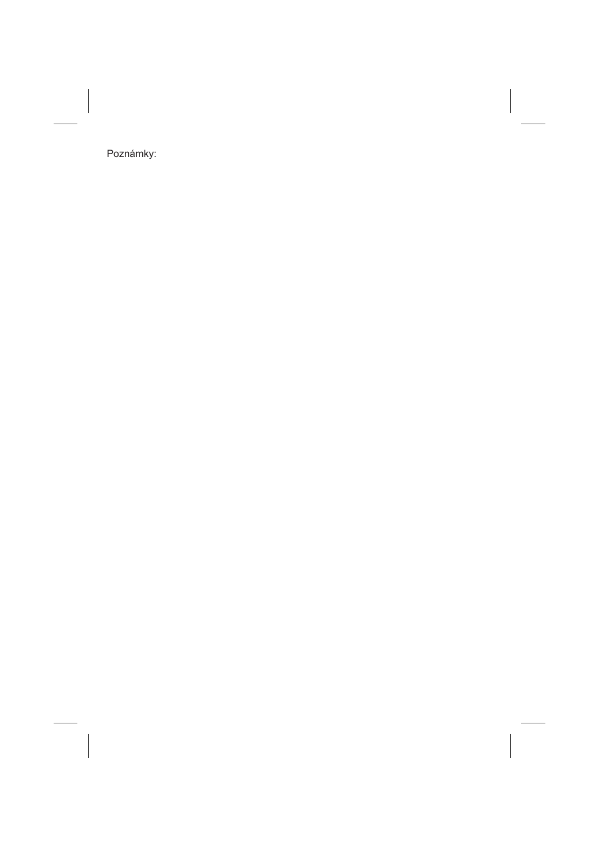Poznámky: